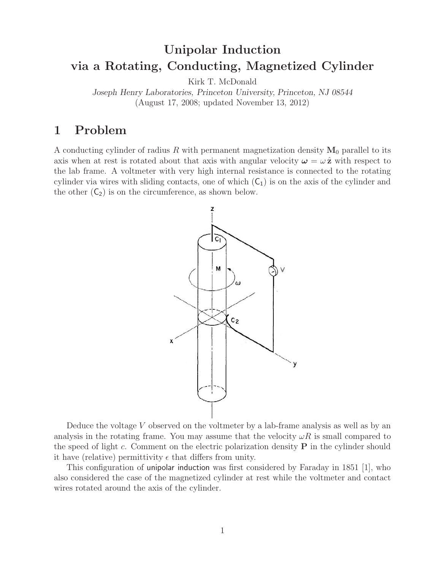# **Unipolar Induction via a Rotating, Conducting, Magnetized Cylinder**

Kirk T. McDonald

*Joseph Henry Laboratories, Princeton University, Princeton, NJ 08544* (August 17, 2008; updated November 13, 2012)

# **1 Problem**

A conducting cylinder of radius R with permanent magnetization density  $M_0$  parallel to its axis when at rest is rotated about that axis with angular velocity  $\omega = \omega \hat{z}$  with respect to the lab frame. A voltmeter with very high internal resistance is connected to the rotating cylinder via wires with sliding contacts, one of which  $(C_1)$  is on the axis of the cylinder and the other  $(C_2)$  is on the circumference, as shown below.



Deduce the voltage  $V$  observed on the voltmeter by a lab-frame analysis as well as by an analysis in the rotating frame. You may assume that the velocity  $\omega R$  is small compared to the speed of light c. Comment on the electric polarization density **P** in the cylinder should it have (relative) permittivity  $\epsilon$  that differs from unity.

This configuration of unipolar induction was first considered by Faraday in 1851 [1], who also considered the case of the magnetized cylinder at rest while the voltmeter and contact wires rotated around the axis of the cylinder.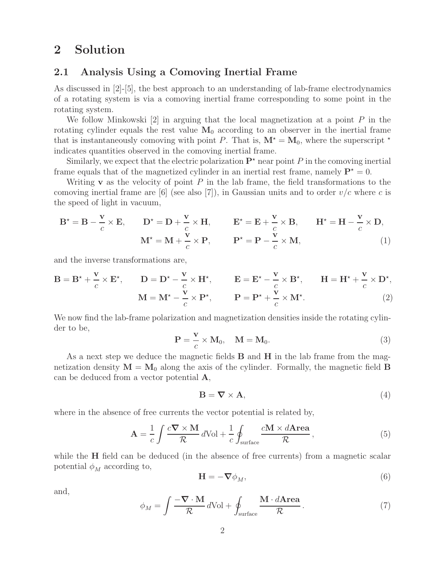# **2 Solution**

### **2.1 Analysis Using a Comoving Inertial Frame**

As discussed in [2]-[5], the best approach to an understanding of lab-frame electrodynamics of a rotating system is via a comoving inertial frame corresponding to some point in the rotating system.

We follow Minkowski  $[2]$  in arguing that the local magnetization at a point P in the rotating cylinder equals the rest value  $M_0$  according to an observer in the inertial frame that is instantaneously comoving with point P. That is,  $M^* = M_0$ , where the superscript  $*$ indicates quantities observed in the comoving inertial frame.

Similarly, we expect that the electric polarization  $\mathbf{P}^{\star}$  near point P in the comoving inertial frame equals that of the magnetized cylinder in an inertial rest frame, namely  $P^* = 0$ .

Writing **v** as the velocity of point P in the lab frame, the field transformations to the comoving inertial frame are [6] (see also [7]), in Gaussian units and to order  $v/c$  where c is the speed of light in vacuum,

$$
\mathbf{B}^* = \mathbf{B} - \frac{\mathbf{v}}{c} \times \mathbf{E}, \qquad \mathbf{D}^* = \mathbf{D} + \frac{\mathbf{v}}{c} \times \mathbf{H}, \qquad \mathbf{E}^* = \mathbf{E} + \frac{\mathbf{v}}{c} \times \mathbf{B}, \qquad \mathbf{H}^* = \mathbf{H} - \frac{\mathbf{v}}{c} \times \mathbf{D},
$$

$$
\mathbf{M}^* = \mathbf{M} + \frac{\mathbf{v}}{c} \times \mathbf{P}, \qquad \mathbf{P}^* = \mathbf{P} - \frac{\mathbf{v}}{c} \times \mathbf{M}, \tag{1}
$$

and the inverse transformations are,

$$
\mathbf{B} = \mathbf{B}^{\star} + \frac{\mathbf{v}}{c} \times \mathbf{E}^{\star}, \qquad \mathbf{D} = \mathbf{D}^{\star} - \frac{\mathbf{v}}{c} \times \mathbf{H}^{\star}, \qquad \mathbf{E} = \mathbf{E}^{\star} - \frac{\mathbf{v}}{c} \times \mathbf{B}^{\star}, \qquad \mathbf{H} = \mathbf{H}^{\star} + \frac{\mathbf{v}}{c} \times \mathbf{D}^{\star},
$$

$$
\mathbf{M} = \mathbf{M}^{\star} - \frac{\mathbf{v}}{c} \times \mathbf{P}^{\star}, \qquad \mathbf{P} = \mathbf{P}^{\star} + \frac{\mathbf{v}}{c} \times \mathbf{M}^{\star}.
$$
(2)

We now find the lab-frame polarization and magnetization densities inside the rotating cylinder to be,

$$
\mathbf{P} = \frac{\mathbf{v}}{c} \times \mathbf{M}_0, \quad \mathbf{M} = \mathbf{M}_0.
$$
 (3)

As a next step we deduce the magnetic fields **B** and **H** in the lab frame from the magnetization density  $M = M_0$  along the axis of the cylinder. Formally, the magnetic field **B** can be deduced from a vector potential **A**,

$$
\mathbf{B} = \nabla \times \mathbf{A},\tag{4}
$$

where in the absence of free currents the vector potential is related by,

$$
\mathbf{A} = \frac{1}{c} \int \frac{c \nabla \times \mathbf{M}}{\mathcal{R}} d\text{Vol} + \frac{1}{c} \oint_{\text{surface}} \frac{c \mathbf{M} \times d\text{Area}}{\mathcal{R}},
$$
(5)

while the **H** field can be deduced (in the absence of free currents) from a magnetic scalar potential  $\phi_M$  according to,

$$
\mathbf{H} = -\nabla \phi_M,\tag{6}
$$

and,

$$
\phi_M = \int \frac{-\nabla \cdot \mathbf{M}}{\mathcal{R}} d\text{Vol} + \oint_{\text{surface}} \frac{\mathbf{M} \cdot d\mathbf{Area}}{\mathcal{R}}.
$$
 (7)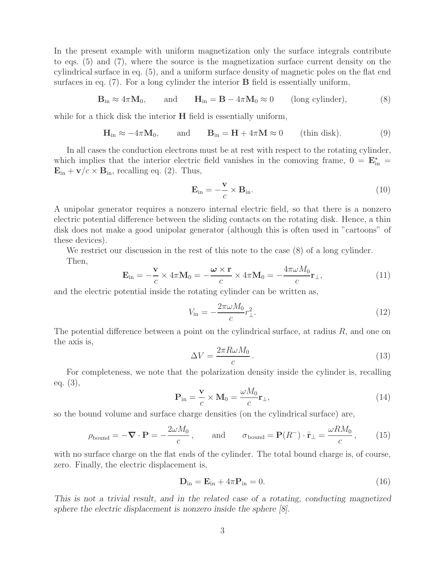In the present example with uniform magnetization only the surface integrals contribute to eqs. (5) and (7), where the source is the magnetization surface current density on the cylindrical surface in eq. (5), and a uniform surface density of magnetic poles on the flat end surfaces in eq. (7). For a long cylinder the interior **B** field is essentially uniform,

$$
\mathbf{B}_{\text{in}} \approx 4\pi \mathbf{M}_0, \qquad \text{and} \qquad \mathbf{H}_{\text{in}} = \mathbf{B} - 4\pi \mathbf{M}_0 \approx 0 \qquad \text{(long cylinder)}, \tag{8}
$$

while for a thick disk the interior **H** field is essentially uniform,

$$
\mathbf{H}_{\text{in}} \approx -4\pi \mathbf{M}_0, \quad \text{and} \quad \mathbf{B}_{\text{in}} = \mathbf{H} + 4\pi \mathbf{M} \approx 0 \quad (\text{thin disk}). \tag{9}
$$

In all cases the conduction electrons must be at rest with respect to the rotating cylinder, which implies that the interior electric field vanishes in the comoving frame,  $0 = \mathbf{E}_{in}^*$  $\mathbf{E}_{\text{in}} + \mathbf{v}/c \times \mathbf{B}_{\text{in}}$ , recalling eq. (2). Thus,

$$
\mathbf{E}_{\rm in} = -\frac{\mathbf{v}}{c} \times \mathbf{B}_{\rm in}.\tag{10}
$$

A unipolar generator requires a nonzero internal electric field, so that there is a nonzero electric potential difference between the sliding contacts on the rotating disk. Hence, a thin disk does not make a good unipolar generator (although this is often used in "cartoons" of these devices).

We restrict our discussion in the rest of this note to the case  $(8)$  of a long cylinder. Then,

$$
\mathbf{E}_{\rm in} = -\frac{\mathbf{v}}{c} \times 4\pi \mathbf{M}_0 = -\frac{\boldsymbol{\omega} \times \mathbf{r}}{c} \times 4\pi \mathbf{M}_0 = -\frac{4\pi\omega M_0}{c} \mathbf{r}_{\perp},\tag{11}
$$

and the electric potential inside the rotating cylinder can be written as,

$$
V_{\rm in} = -\frac{2\pi\omega M_0}{c} r_\perp^2. \tag{12}
$$

The potential difference between a point on the cylindrical surface, at radius  $R$ , and one on the axis is,

$$
\Delta V = \frac{2\pi R\omega M_0}{c} \,. \tag{13}
$$

For completeness, we note that the polarization density inside the cylinder is, recalling eq. (3),

$$
\mathbf{P}_{\rm in} = \frac{\mathbf{v}}{c} \times \mathbf{M}_0 = \frac{\omega M_0}{c} \mathbf{r}_{\perp},\tag{14}
$$

so the bound volume and surface charge densities (on the cylindrical surface) are,

$$
\rho_{\text{bound}} = -\nabla \cdot \mathbf{P} = -\frac{2\omega M_0}{c}, \quad \text{and} \quad \sigma_{\text{bound}} = \mathbf{P}(R^-) \cdot \hat{\mathbf{r}}_{\perp} = \frac{\omega RM_0}{c}, \quad (15)
$$

with no surface charge on the flat ends of the cylinder. The total bound charge is, of course, zero. Finally, the electric displacement is,

$$
\mathbf{D}_{\rm in} = \mathbf{E}_{\rm in} + 4\pi \mathbf{P}_{\rm in} = 0. \tag{16}
$$

*This is not a trivial result, and in the related case of a rotating, conducting magnetized sphere the electric displacement is nonzero inside the sphere [8].*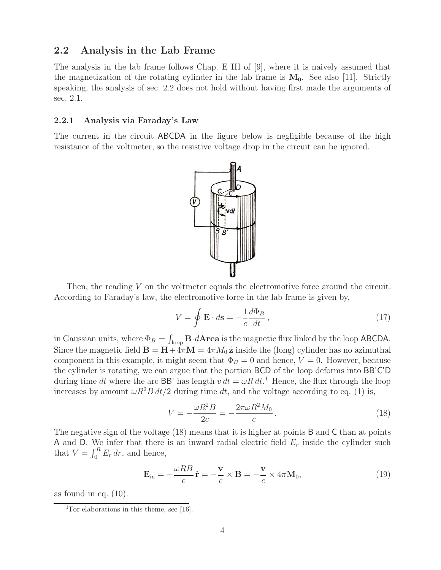## **2.2 Analysis in the Lab Frame**

The analysis in the lab frame follows Chap. E III of [9], where it is naively assumed that the magnetization of the rotating cylinder in the lab frame is  $M_0$ . See also [11]. Strictly speaking, the analysis of sec. 2.2 does not hold without having first made the arguments of sec. 2.1.

#### **2.2.1 Analysis via Faraday's Law**

The current in the circuit ABCDA in the figure below is negligible because of the high resistance of the voltmeter, so the resistive voltage drop in the circuit can be ignored.



Then, the reading V on the voltmeter equals the electromotive force around the circuit. According to Faraday's law, the electromotive force in the lab frame is given by,

$$
V = \oint \mathbf{E} \cdot d\mathbf{s} = -\frac{1}{c} \frac{d\Phi_B}{dt},
$$
\n(17)

in Gaussian units, where  $\Phi_B = \int_{\text{loop}} \mathbf{B} \cdot d\mathbf{A}$ rea is the magnetic flux linked by the loop ABCDA. Since the magnetic field  $\mathbf{B} = \mathbf{H} + 4\pi \mathbf{M} = 4\pi M_0 \hat{\mathbf{z}}$  inside the (long) cylinder has no azimuthal component in this example, it might seem that  $\Phi_B = 0$  and hence,  $V = 0$ . However, because the cylinder is rotating, we can argue that the portion BCD of the loop deforms into BB'C'D during time dt where the arc BB' has length  $v dt = \omega R dt$ <sup>1</sup>. Hence, the flux through the loop increases by amount  $\omega R^2 B dt/2$  during time dt, and the voltage according to eq. (1) is,

$$
V = -\frac{\omega R^2 B}{2c} = -\frac{2\pi \omega R^2 M_0}{c}.
$$
\n(18)

The negative sign of the voltage (18) means that it is higher at points B and C than at points A and D. We infer that there is an inward radial electric field  $E_r$  inside the cylinder such that  $V = \int_0^R E_r dr$ , and hence,

$$
\mathbf{E}_{\rm in} = -\frac{\omega RB}{c}\hat{\mathbf{r}} = -\frac{\mathbf{v}}{c} \times \mathbf{B} = -\frac{\mathbf{v}}{c} \times 4\pi \mathbf{M}_0, \tag{19}
$$

as found in eq.  $(10)$ .

<sup>&</sup>lt;sup>1</sup>For elaborations in this theme, see [16].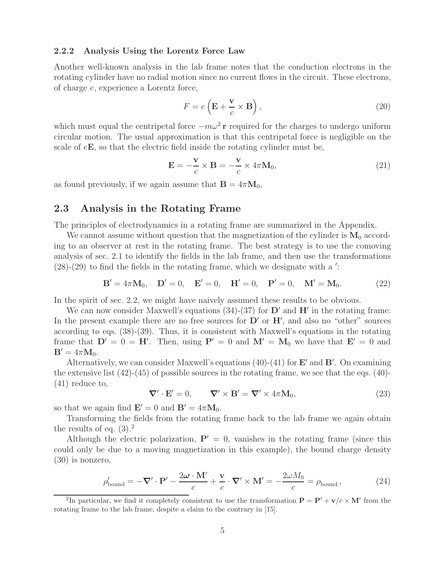#### **2.2.2 Analysis Using the Lorentz Force Law**

Another well-known analysis in the lab frame notes that the conduction electrons in the rotating cylinder have no radial motion since no current flows in the circuit. These electrons, of charge e, experience a Lorentz force,

$$
F = e\left(\mathbf{E} + \frac{\mathbf{v}}{c} \times \mathbf{B}\right),\tag{20}
$$

which must equal the centripetal force  $-m\omega^2$ **r** required for the charges to undergo uniform circular motion. The usual approximation is that this centripetal force is negligible on the scale of e**E**, so that the electric field inside the rotating cylinder must be,

$$
\mathbf{E} = -\frac{\mathbf{v}}{c} \times \mathbf{B} = -\frac{\mathbf{v}}{c} \times 4\pi \mathbf{M}_0, \tag{21}
$$

as found previously, if we again assume that  $\mathbf{B} = 4\pi \mathbf{M}_0$ ,

### **2.3 Analysis in the Rotating Frame**

The principles of electrodynamics in a rotating frame are summarized in the Appendix.

We cannot assume without question that the magnetization of the cylinder is  $M_0$  according to an observer at rest in the rotating frame. The best strategy is to use the comoving analysis of sec. 2.1 to identify the fields in the lab frame, and then use the transformations  $(28)-(29)$  to find the fields in the rotating frame, which we designate with a ':

$$
\mathbf{B}' = 4\pi \mathbf{M}_0, \quad \mathbf{D}' = 0, \quad \mathbf{E}' = 0, \quad \mathbf{H}' = 0, \quad \mathbf{P}' = 0, \quad \mathbf{M}' = \mathbf{M}_0.
$$
 (22)

In the spirit of sec. 2.2, we might have naively assumed these results to be obvious.

We can now consider Maxwell's equations  $(34)-(37)$  for  $\mathbf{D}'$  and  $\mathbf{H}'$  in the rotating frame. In the present example there are no free sources for  $D'$  or  $H'$ , and also no "other" sources according to eqs. (38)-(39). Thus, it is consistent with Maxwell's equations in the rotating frame that  $D' = 0 = H'$ . Then, using  $P' = 0$  and  $M' = M_0$  we have that  $E' = 0$  and  $\mathbf{B}' = 4\pi \mathbf{M}_0.$ 

Alternatively, we can consider Maxwell's equations  $(40)$ - $(41)$  for  $\mathbf{E}'$  and  $\mathbf{B}'$ . On examining the extensive list  $(42)-(45)$  of possible sources in the rotating frame, we see that the eqs.  $(40)$ -(41) reduce to,

$$
\nabla' \cdot \mathbf{E}' = 0, \qquad \nabla' \times \mathbf{B}' = \nabla' \times 4\pi \mathbf{M}_0, \tag{23}
$$

so that we again find  $\mathbf{E}' = 0$  and  $\mathbf{B}' = 4\pi \mathbf{M}_0$ .

Transforming the fields from the rotating frame back to the lab frame we again obtain the results of eq.  $(3).<sup>2</sup>$ 

Although the electric polarization,  $P' = 0$ , vanishes in the rotating frame (since this could only be due to a moving magnetization in this example), the bound charge density (30) is nonzero,

$$
\rho'_{\text{bound}} = -\nabla' \cdot \mathbf{P}' - \frac{2\omega \cdot \mathbf{M}'}{c} + \frac{\mathbf{v}}{c} \cdot \nabla' \times \mathbf{M}' = -\frac{2\omega M_0}{c} = \rho_{\text{bound}}\,,\tag{24}
$$

<sup>2</sup>In particular, we find it completely consistent to use the transformation  $P = P' + v/c \times M'$  from the rotating frame to the lab frame, despite a claim to the contrary in [15].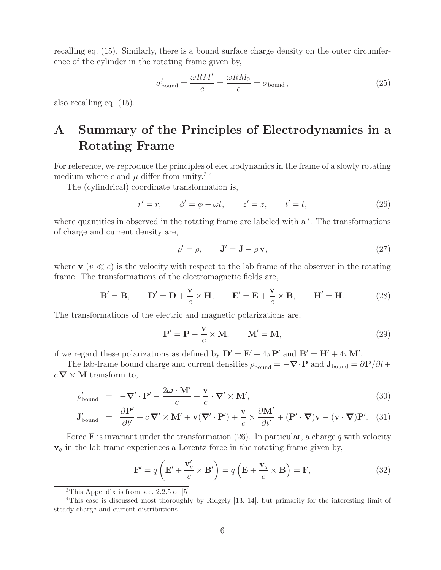recalling eq. (15). Similarly, there is a bound surface charge density on the outer circumference of the cylinder in the rotating frame given by,

$$
\sigma_{\text{bound}}' = \frac{\omega RM'}{c} = \frac{\omega RM_0}{c} = \sigma_{\text{bound}}\,,\tag{25}
$$

also recalling eq. (15).

# **A Summary of the Principles of Electrodynamics in a Rotating Frame**

For reference, we reproduce the principles of electrodynamics in the frame of a slowly rotating medium where  $\epsilon$  and  $\mu$  differ from unity.<sup>3,4</sup>

The (cylindrical) coordinate transformation is,

$$
r' = r,
$$
  $\phi' = \phi - \omega t,$   $z' = z,$   $t' = t,$  (26)

where quantities in observed in the rotating frame are labeled with a '. The transformations of charge and current density are,

$$
\rho' = \rho, \qquad \mathbf{J}' = \mathbf{J} - \rho \mathbf{v}, \tag{27}
$$

where  $\mathbf{v}$  ( $v \ll c$ ) is the velocity with respect to the lab frame of the observer in the rotating frame. The transformations of the electromagnetic fields are,

$$
\mathbf{B}' = \mathbf{B}, \qquad \mathbf{D}' = \mathbf{D} + \frac{\mathbf{v}}{c} \times \mathbf{H}, \qquad \mathbf{E}' = \mathbf{E} + \frac{\mathbf{v}}{c} \times \mathbf{B}, \qquad \mathbf{H}' = \mathbf{H}.
$$
 (28)

The transformations of the electric and magnetic polarizations are,

$$
\mathbf{P}' = \mathbf{P} - \frac{\mathbf{v}}{c} \times \mathbf{M}, \qquad \mathbf{M}' = \mathbf{M}, \tag{29}
$$

if we regard these polarizations as defined by  $D' = E' + 4\pi P'$  and  $B' = H' + 4\pi M'$ .

The lab-frame bound charge and current densities  $\rho_{\text{bound}} = -\nabla \cdot \mathbf{P}$  and  $\mathbf{J}_{\text{bound}} = \partial \mathbf{P}/\partial t + \nabla \cdot \mathbf{P}$  $c \nabla \times \mathbf{M}$  transform to,

$$
\rho'_{\text{bound}} = -\nabla' \cdot \mathbf{P}' - \frac{2\omega \cdot \mathbf{M}'}{c} + \frac{\mathbf{v}}{c} \cdot \nabla' \times \mathbf{M}',\tag{30}
$$

$$
\mathbf{J}_{\text{bound}}' = \frac{\partial \mathbf{P}'}{\partial t'} + c \, \nabla' \times \mathbf{M}' + \mathbf{v} (\nabla' \cdot \mathbf{P}') + \frac{\mathbf{v}}{c} \times \frac{\partial \mathbf{M}'}{\partial t'} + (\mathbf{P}' \cdot \nabla) \mathbf{v} - (\mathbf{v} \cdot \nabla) \mathbf{P}'. \tag{31}
$$

Force **F** is invariant under the transformation  $(26)$ . In particular, a charge q with velocity **v**<sup>q</sup> in the lab frame experiences a Lorentz force in the rotating frame given by,

$$
\mathbf{F}' = q\left(\mathbf{E}' + \frac{\mathbf{v}'_q}{c} \times \mathbf{B}'\right) = q\left(\mathbf{E} + \frac{\mathbf{v}_q}{c} \times \mathbf{B}\right) = \mathbf{F},\tag{32}
$$

 ${}^{3}$ This Appendix is from sec. 2.2.5 of [5].

<sup>4</sup>This case is discussed most thoroughly by Ridgely [13, 14], but primarily for the interesting limit of steady charge and current distributions.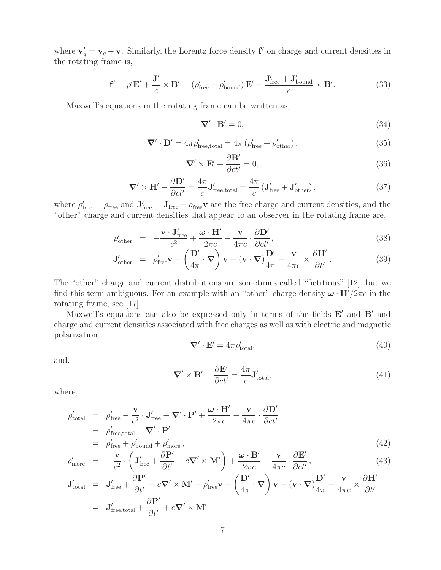where  $\mathbf{v}'_q = \mathbf{v}_q - \mathbf{v}$ . Similarly, the Lorentz force density **f**' on charge and current densities in the rotating frame is,

$$
\mathbf{f}' = \rho' \mathbf{E}' + \frac{\mathbf{J}'}{c} \times \mathbf{B}' = (\rho'_{\text{free}} + \rho'_{\text{bound}}) \mathbf{E}' + \frac{\mathbf{J}'_{\text{free}} + \mathbf{J}'_{\text{bound}}}{c} \times \mathbf{B}'. \tag{33}
$$

Maxwell's equations in the rotating frame can be written as,

$$
\nabla' \cdot \mathbf{B}' = 0,\tag{34}
$$

$$
\nabla' \cdot \mathbf{D}' = 4\pi \rho'_{\text{free,total}} = 4\pi \left( \rho'_{\text{free}} + \rho'_{\text{other}} \right),\tag{35}
$$

$$
\nabla' \times \mathbf{E}' + \frac{\partial \mathbf{B}'}{\partial ct'} = 0,\tag{36}
$$

$$
\nabla' \times \mathbf{H}' - \frac{\partial \mathbf{D}'}{\partial ct'} = \frac{4\pi}{c} \mathbf{J}'_{\text{free,total}} = \frac{4\pi}{c} \left( \mathbf{J}'_{\text{free}} + \mathbf{J}'_{\text{other}} \right),\tag{37}
$$

where  $\rho'_{\text{free}} = \rho_{\text{free}}$  and  $\mathbf{J}'_{\text{free}} = \mathbf{J}_{\text{free}} - \rho_{\text{free}}\mathbf{v}$  are the free charge and current densities, and the "other" charge and current densities that appear to an observer in the rotating frame are,

$$
\rho'_{\text{other}} = -\frac{\mathbf{v} \cdot \mathbf{J}_{\text{free}}'}{c^2} + \frac{\boldsymbol{\omega} \cdot \mathbf{H}'}{2\pi c} - \frac{\mathbf{v}}{4\pi c} \cdot \frac{\partial \mathbf{D}'}{\partial ct'},
$$
\n(38)

$$
\mathbf{J}_{\text{other}}' = \rho_{\text{free}}' \mathbf{v} + \left(\frac{\mathbf{D}'}{4\pi} \cdot \mathbf{\nabla}\right) \mathbf{v} - (\mathbf{v} \cdot \mathbf{\nabla}) \frac{\mathbf{D}'}{4\pi} - \frac{\mathbf{v}}{4\pi c} \times \frac{\partial \mathbf{H}'}{\partial t'}.
$$
 (39)

The "other" charge and current distributions are sometimes called "fictitious" [12], but we find this term ambiguous. For an example with an "other" charge density  $\omega \cdot \mathbf{H}'/2\pi c$  in the rotating frame, see [17].

Maxwell's equations can also be expressed only in terms of the fields  $E'$  and  $B'$  and charge and current densities associated with free charges as well as with electric and magnetic polarization,

$$
\nabla' \cdot \mathbf{E}' = 4\pi \rho'_{\text{total}},\tag{40}
$$

and,

$$
\nabla' \times \mathbf{B}' - \frac{\partial \mathbf{E}'}{\partial ct'} = \frac{4\pi}{c} \mathbf{J}'_{\text{total}},\tag{41}
$$

where,

$$
\rho'_{\text{total}} = \rho'_{\text{free}} - \frac{\mathbf{v}}{c^2} \cdot \mathbf{J}'_{\text{free}} - \nabla' \cdot \mathbf{P}' + \frac{\boldsymbol{\omega} \cdot \mathbf{H}'}{2\pi c} - \frac{\mathbf{v}}{4\pi c} \cdot \frac{\partial \mathbf{D}'}{\partial ct'}
$$
\n
$$
= \rho'_{\text{free,total}} - \nabla' \cdot \mathbf{P}'
$$
\n
$$
= \rho'_{\text{free}} + \rho'_{\text{bound}} + \rho'_{\text{more}},
$$
\n(42)

$$
\rho'_{\text{more}} = -\frac{\mathbf{v}}{c^2} \cdot \left( \mathbf{J}'_{\text{free}} + \frac{\partial \mathbf{P}'}{\partial t'} + c \nabla' \times \mathbf{M}' \right) + \frac{\boldsymbol{\omega} \cdot \mathbf{B}'}{2\pi c} - \frac{\mathbf{v}}{4\pi c} \cdot \frac{\partial \mathbf{E}'}{\partial ct'},
$$
\n(43)

$$
\mathbf{J}_{\text{total}}' = \mathbf{J}_{\text{free}}' + \frac{\partial \mathbf{P}'}{\partial t'} + c \nabla' \times \mathbf{M}' + \rho_{\text{free}}' \mathbf{v} + \left(\frac{\mathbf{D}'}{4\pi} \cdot \nabla\right) \mathbf{v} - (\mathbf{v} \cdot \nabla)\frac{\mathbf{D}'}{4\pi} - \frac{\mathbf{v}}{4\pi c} \times \frac{\partial \mathbf{H}'}{\partial t'}
$$
  
=  $\mathbf{J}_{\text{free,total}}' + \frac{\partial \mathbf{P}'}{\partial t'} + c \nabla' \times \mathbf{M}'$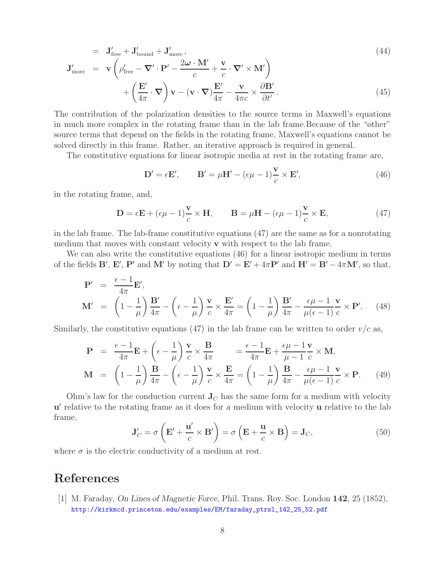$$
= J'_{\text{free}} + J'_{\text{bound}} + J'_{\text{more}},
$$
\n
$$
J'_{\text{reco}} + J'_{\text{more}} + J'_{\text{more}} + J'_{\text{more}} + J'_{\text{more}} + J'_{\text{more}} + J'_{\text{more}} + J'_{\text{more}} + J'_{\text{more}} + J'_{\text{more}} + J'_{\text{more}} + J'_{\text{more}} + J'_{\text{more}} + J'_{\text{more}} + J'_{\text{more}} + J'_{\text{more}} + J'_{\text{more}} + J'_{\text{more}} + J'_{\text{more}} + J'_{\text{more}} + J'_{\text{more}} + J'_{\text{more}} + J'_{\text{more}} + J'_{\text{more}} + J'_{\text{more}} + J'_{\text{more}} + J'_{\text{more}} + J'_{\text{more}} + J'_{\text{more}} + J'_{\text{more}} + J'_{\text{more}} + J'_{\text{more}} + J'_{\text{more}} + J'_{\text{more}} + J'_{\text{more}} + J'_{\text{more}} + J'_{\text{more}} + J'_{\text{more}} + J'_{\text{more}} + J'_{\text{more}} + J'_{\text{more}} + J'_{\text{more}} + J'_{\text{more}} + J'_{\text{more}} + J'_{\text{more}} + J'_{\text{more}} + J'_{\text{more}} + J'_{\text{more}} + J'_{\text{more}} + J'_{\text{more}} + J'_{\text{more}} + J'_{\text{more}} + J'_{\text{more}} + J'_{\text{more}} + J'_{\text{more}} + J'_{\text{more}} + J'_{\text{more}} + J'_{\text{more}} + J'_{\text{more}} + J'_{\text{more}} + J'_{\text{more}} + J'_{\text{more}} + J'_{\text{more}} + J'_{\text{more}} + J'_{\text{more}} + J'_{\text{more}} + J'_{\text{more}} + J'_{\text{more}} + J'_{\text{more}} + J'_{\text{more}} + J'_{\text{more}} + J'_{\text{more}} + J'_{\text{more}} + J'_{\text{more}} + J'_{\text{more}} + J'_{\text{more}} + J'_{\text{more}} + J'_{\text{more}} + J'_{\text{more}} + J'_{\text{more}} + J
$$

$$
\mathbf{J}'_{\text{more}} = \mathbf{v} \left( \rho'_{\text{free}} - \nabla' \cdot \mathbf{P}' - \frac{2\omega \cdot \mathbf{M}'}{c} + \frac{\mathbf{v}}{c} \cdot \nabla' \times \mathbf{M}' \right) + \left( \frac{\mathbf{E}'}{4\pi} \cdot \nabla \right) \mathbf{v} - (\mathbf{v} \cdot \nabla) \frac{\mathbf{E}'}{4\pi} - \frac{\mathbf{v}}{4\pi c} \times \frac{\partial \mathbf{B}'}{\partial t'}.
$$
 (45)

The contribution of the polarization densities to the source terms in Maxwell's equations in much more complex in the rotating frame than in the lab frame.Because of the "other" source terms that depend on the fields in the rotating frame, Maxwell's equations cannot be solved directly in this frame. Rather, an iterative approach is required in general.

The constitutive equations for linear isotropic media at rest in the rotating frame are,

$$
\mathbf{D}' = \epsilon \mathbf{E}', \qquad \mathbf{B}' = \mu \mathbf{H}' - (\epsilon \mu - 1) \frac{\mathbf{v}}{c} \times \mathbf{E}', \tag{46}
$$

in the rotating frame, and,

$$
\mathbf{D} = \epsilon \mathbf{E} + (\epsilon \mu - 1) \frac{\mathbf{v}}{c} \times \mathbf{H}, \qquad \mathbf{B} = \mu \mathbf{H} - (\epsilon \mu - 1) \frac{\mathbf{v}}{c} \times \mathbf{E}, \tag{47}
$$

in the lab frame. The lab-frame constitutive equations (47) are the same as for a nonrotating medium that moves with constant velocity **v** with respect to the lab frame.

We can also write the constitutive equations (46) for a linear isotropic medium in terms of the fields **B**', **E**', **P**' and **M**' by noting that  $D' = E' + 4\pi P'$  and  $H' = B' - 4\pi M'$ , so that,

$$
\mathbf{P}' = \frac{\epsilon - 1}{4\pi} \mathbf{E}',
$$
\n
$$
\mathbf{M}' = \left(1 - \frac{1}{\mu}\right) \frac{\mathbf{B}'}{4\pi} - \left(\epsilon - \frac{1}{\mu}\right) \frac{\mathbf{v}}{c} \times \frac{\mathbf{E}'}{4\pi} = \left(1 - \frac{1}{\mu}\right) \frac{\mathbf{B}'}{4\pi} - \frac{\epsilon \mu - 1}{\mu(\epsilon - 1)} \frac{\mathbf{v}}{c} \times \mathbf{P}'. \quad (48)
$$

Similarly, the constitutive equations (47) in the lab frame can be written to order  $v/c$  as,

$$
\mathbf{P} = \frac{\epsilon - 1}{4\pi} \mathbf{E} + \left(\epsilon - \frac{1}{\mu}\right) \frac{\mathbf{v}}{c} \times \frac{\mathbf{B}}{4\pi} = \frac{\epsilon - 1}{4\pi} \mathbf{E} + \frac{\epsilon \mu - 1}{\mu - 1} \frac{\mathbf{v}}{c} \times \mathbf{M},
$$
  

$$
\mathbf{M} = \left(1 - \frac{1}{\mu}\right) \frac{\mathbf{B}}{4\pi} - \left(\epsilon - \frac{1}{\mu}\right) \frac{\mathbf{v}}{c} \times \frac{\mathbf{E}}{4\pi} = \left(1 - \frac{1}{\mu}\right) \frac{\mathbf{B}}{4\pi} - \frac{\epsilon \mu - 1}{\mu(\epsilon - 1)} \frac{\mathbf{v}}{c} \times \mathbf{P}.
$$
 (49)

Ohm's law for the conduction current  $\mathbf{J}_C$  has the same form for a medium with velocity **u** relative to the rotating frame as it does for a medium with velocity **u** relative to the lab frame,

$$
\mathbf{J}'_C = \sigma \left( \mathbf{E}' + \frac{\mathbf{u}'}{c} \times \mathbf{B}' \right) = \sigma \left( \mathbf{E} + \frac{\mathbf{u}}{c} \times \mathbf{B} \right) = \mathbf{J}_C,\tag{50}
$$

where  $\sigma$  is the electric conductivity of a medium at rest.

## **References**

[1] M. Faraday, *On Lines of Magnetic Force*, Phil. Trans. Roy. Soc. London **142**, 25 (1852), http://kirkmcd.princeton.edu/examples/EM/faraday\_ptrsl\_142\_25\_52.pdf